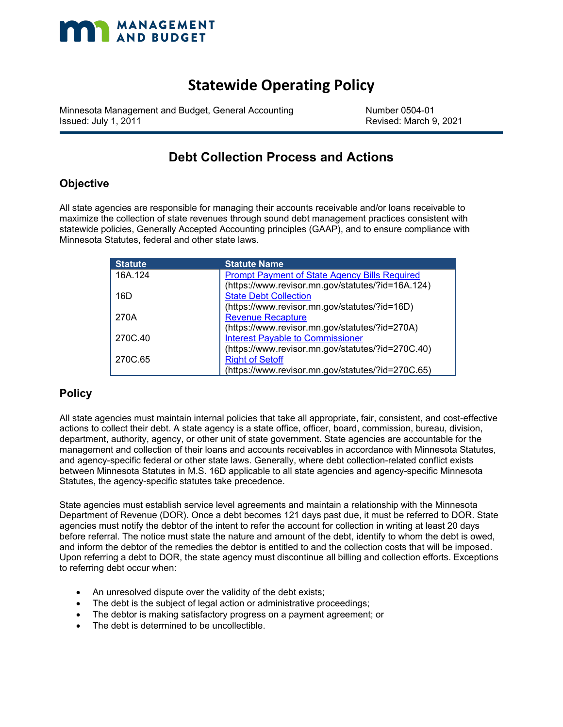

# **Statewide Operating Policy**

Minnesota Management and Budget, General Accounting Number 0504-01

Revised: March 9, 2021

# **Debt Collection Process and Actions**

## **Objective**

All state agencies are responsible for managing their accounts receivable and/or loans receivable to maximize the collection of state revenues through sound debt management practices consistent with statewide policies, Generally Accepted Accounting principles (GAAP), and to ensure compliance with Minnesota Statutes, federal and other state laws.

| <b>Statute</b> | <b>Statute Name</b>                                  |
|----------------|------------------------------------------------------|
| 16A.124        | <b>Prompt Payment of State Agency Bills Required</b> |
|                | (https://www.revisor.mn.gov/statutes/?id=16A.124)    |
| 16D            | <b>State Debt Collection</b>                         |
|                | (https://www.revisor.mn.gov/statutes/?id=16D)        |
| 270A           | <b>Revenue Recapture</b>                             |
|                | (https://www.revisor.mn.gov/statutes/?id=270A)       |
| 270C.40        | <b>Interest Payable to Commissioner</b>              |
|                | (https://www.revisor.mn.gov/statutes/?id=270C.40)    |
| 270C.65        | <b>Right of Setoff</b>                               |
|                | (https://www.revisor.mn.gov/statutes/?id=270C.65)    |

# **Policy**

All state agencies must maintain internal policies that take all appropriate, fair, consistent, and cost-effective actions to collect their debt. A state agency is a state office, officer, board, commission, bureau, division, department, authority, agency, or other unit of state government. State agencies are accountable for the management and collection of their loans and accounts receivables in accordance with Minnesota Statutes, and agency-specific federal or other state laws. Generally, where debt collection-related conflict exists between Minnesota Statutes in M.S. 16D applicable to all state agencies and agency-specific Minnesota Statutes, the agency-specific statutes take precedence.

State agencies must establish service level agreements and maintain a relationship with the Minnesota Department of Revenue (DOR). Once a debt becomes 121 days past due, it must be referred to DOR. State agencies must notify the debtor of the intent to refer the account for collection in writing at least 20 days before referral. The notice must state the nature and amount of the debt, identify to whom the debt is owed, and inform the debtor of the remedies the debtor is entitled to and the collection costs that will be imposed. Upon referring a debt to DOR, the state agency must discontinue all billing and collection efforts. Exceptions to referring debt occur when:

- An unresolved dispute over the validity of the debt exists;
- The debt is the subject of legal action or administrative proceedings;
- The debtor is making satisfactory progress on a payment agreement; or
- The debt is determined to be uncollectible.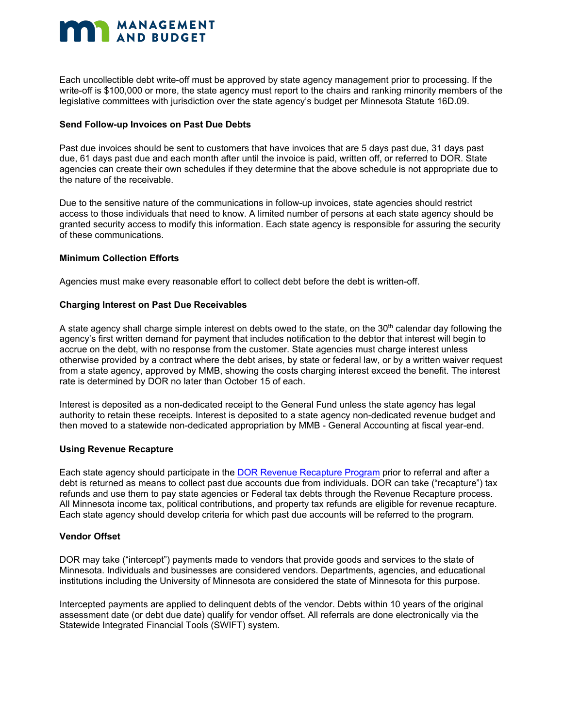

Each uncollectible debt write-off must be approved by state agency management prior to processing. If the write-off is \$100,000 or more, the state agency must report to the chairs and ranking minority members of the legislative committees with jurisdiction over the state agency's budget per Minnesota Statute 16D.09.

#### **Send Follow-up Invoices on Past Due Debts**

Past due invoices should be sent to customers that have invoices that are 5 days past due, 31 days past due, 61 days past due and each month after until the invoice is paid, written off, or referred to DOR. State agencies can create their own schedules if they determine that the above schedule is not appropriate due to the nature of the receivable.

Due to the sensitive nature of the communications in follow-up invoices, state agencies should restrict access to those individuals that need to know. A limited number of persons at each state agency should be granted security access to modify this information. Each state agency is responsible for assuring the security of these communications.

#### **Minimum Collection Efforts**

Agencies must make every reasonable effort to collect debt before the debt is written-off.

#### **Charging Interest on Past Due Receivables**

A state agency shall charge simple interest on debts owed to the state, on the 30<sup>th</sup> calendar day following the agency's first written demand for payment that includes notification to the debtor that interest will begin to accrue on the debt, with no response from the customer. State agencies must charge interest unless otherwise provided by a contract where the debt arises, by state or federal law, or by a written waiver request from a state agency, approved by MMB, showing the costs charging interest exceed the benefit. The interest rate is determined by DOR no later than October 15 of each.

Interest is deposited as a non-dedicated receipt to the General Fund unless the state agency has legal authority to retain these receipts. Interest is deposited to a state agency non-dedicated revenue budget and then moved to a statewide non-dedicated appropriation by MMB - General Accounting at fiscal year-end.

#### **Using Revenue Recapture**

Each state agency should participate in the DOR [Revenue Recapture Program](https://www.revenue.state.mn.us/revenue-recapture-agencies) prior to referral and after a debt is returned as means to collect past due accounts due from individuals. DOR can take ("recapture") tax refunds and use them to pay state agencies or Federal tax debts through the Revenue Recapture process. All Minnesota income tax, political contributions, and property tax refunds are eligible for revenue recapture. Each state agency should develop criteria for which past due accounts will be referred to the program.

#### **Vendor Offset**

DOR may take ("intercept") payments made to vendors that provide goods and services to the state of Minnesota. Individuals and businesses are considered vendors. Departments, agencies, and educational institutions including the University of Minnesota are considered the state of Minnesota for this purpose.

Intercepted payments are applied to delinquent debts of the vendor. Debts within 10 years of the original assessment date (or debt due date) qualify for vendor offset. All referrals are done electronically via the Statewide Integrated Financial Tools (SWIFT) system.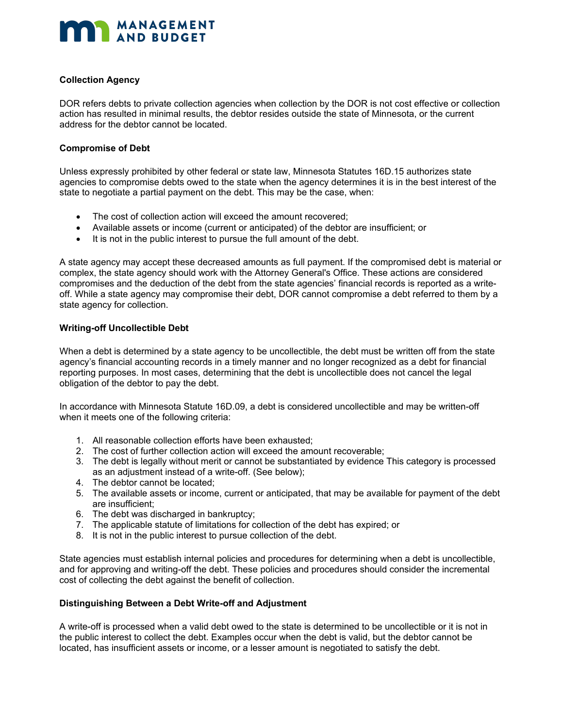

#### **Collection Agency**

DOR refers debts to private collection agencies when collection by the DOR is not cost effective or collection action has resulted in minimal results, the debtor resides outside the state of Minnesota, or the current address for the debtor cannot be located.

#### **Compromise of Debt**

Unless expressly prohibited by other federal or state law, Minnesota Statutes 16D.15 authorizes state agencies to compromise debts owed to the state when the agency determines it is in the best interest of the state to negotiate a partial payment on the debt. This may be the case, when:

- The cost of collection action will exceed the amount recovered;
- Available assets or income (current or anticipated) of the debtor are insufficient; or
- It is not in the public interest to pursue the full amount of the debt.

A state agency may accept these decreased amounts as full payment. If the compromised debt is material or complex, the state agency should work with the Attorney General's Office. These actions are considered compromises and the deduction of the debt from the state agencies' financial records is reported as a writeoff. While a state agency may compromise their debt, DOR cannot compromise a debt referred to them by a state agency for collection.

#### **Writing-off Uncollectible Debt**

When a debt is determined by a state agency to be uncollectible, the debt must be written off from the state agency's financial accounting records in a timely manner and no longer recognized as a debt for financial reporting purposes. In most cases, determining that the debt is uncollectible does not cancel the legal obligation of the debtor to pay the debt.

In accordance with Minnesota Statute 16D.09, a debt is considered uncollectible and may be written-off when it meets one of the following criteria:

- 1. All reasonable collection efforts have been exhausted;
- 2. The cost of further collection action will exceed the amount recoverable;
- 3. The debt is legally without merit or cannot be substantiated by evidence This category is processed as an adjustment instead of a write-off. (See below);
- 4. The debtor cannot be located;
- 5. The available assets or income, current or anticipated, that may be available for payment of the debt are insufficient;
- 6. The debt was discharged in bankruptcy;
- 7. The applicable statute of limitations for collection of the debt has expired; or
- 8. It is not in the public interest to pursue collection of the debt.

State agencies must establish internal policies and procedures for determining when a debt is uncollectible, and for approving and writing-off the debt. These policies and procedures should consider the incremental cost of collecting the debt against the benefit of collection.

#### **Distinguishing Between a Debt Write-off and Adjustment**

A write-off is processed when a valid debt owed to the state is determined to be uncollectible or it is not in the public interest to collect the debt. Examples occur when the debt is valid, but the debtor cannot be located, has insufficient assets or income, or a lesser amount is negotiated to satisfy the debt.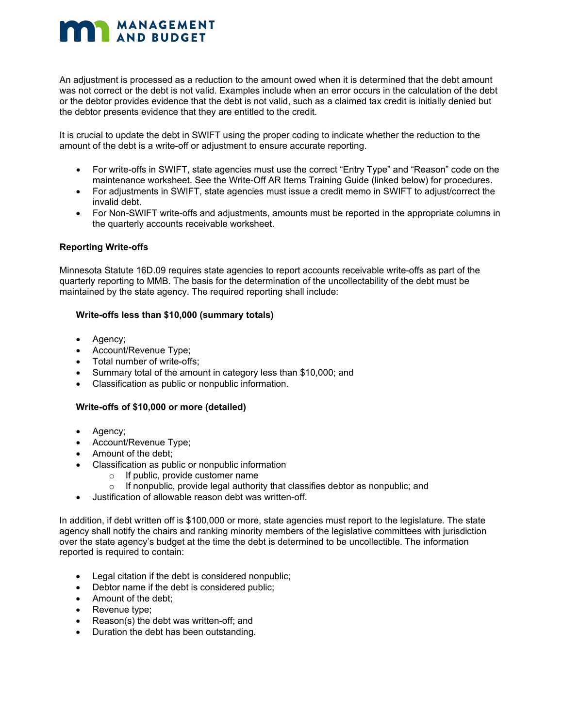# MANAGEMENT

An adjustment is processed as a reduction to the amount owed when it is determined that the debt amount was not correct or the debt is not valid. Examples include when an error occurs in the calculation of the debt or the debtor provides evidence that the debt is not valid, such as a claimed tax credit is initially denied but the debtor presents evidence that they are entitled to the credit.

It is crucial to update the debt in SWIFT using the proper coding to indicate whether the reduction to the amount of the debt is a write-off or adjustment to ensure accurate reporting.

- For write-offs in SWIFT, state agencies must use the correct "Entry Type" and "Reason" code on the maintenance worksheet. See the Write-Off AR Items Training Guide (linked below) for procedures.
- For adjustments in SWIFT, state agencies must issue a credit memo in SWIFT to adjust/correct the invalid debt.
- For Non-SWIFT write-offs and adjustments, amounts must be reported in the appropriate columns in the quarterly accounts receivable worksheet.

#### **Reporting Write-offs**

Minnesota Statute 16D.09 requires state agencies to report accounts receivable write-offs as part of the quarterly reporting to MMB. The basis for the determination of the uncollectability of the debt must be maintained by the state agency. The required reporting shall include:

#### **Write-offs less than \$10,000 (summary totals)**

- Agency;
- Account/Revenue Type;
- Total number of write-offs;
- Summary total of the amount in category less than \$10,000; and
- Classification as public or nonpublic information.

#### **Write-offs of \$10,000 or more (detailed)**

- Agency;
- Account/Revenue Type;
- Amount of the debt;
- Classification as public or nonpublic information
	- $\circ$  If public, provide customer name
	- $\circ$  If nonpublic, provide legal authority that classifies debtor as nonpublic; and
- Justification of allowable reason debt was written-off.

In addition, if debt written off is \$100,000 or more, state agencies must report to the legislature. The state agency shall notify the chairs and ranking minority members of the legislative committees with jurisdiction over the state agency's budget at the time the debt is determined to be uncollectible. The information reported is required to contain:

- Legal citation if the debt is considered nonpublic;
- Debtor name if the debt is considered public;
- Amount of the debt;
- Revenue type;
- Reason(s) the debt was written-off; and
- Duration the debt has been outstanding.